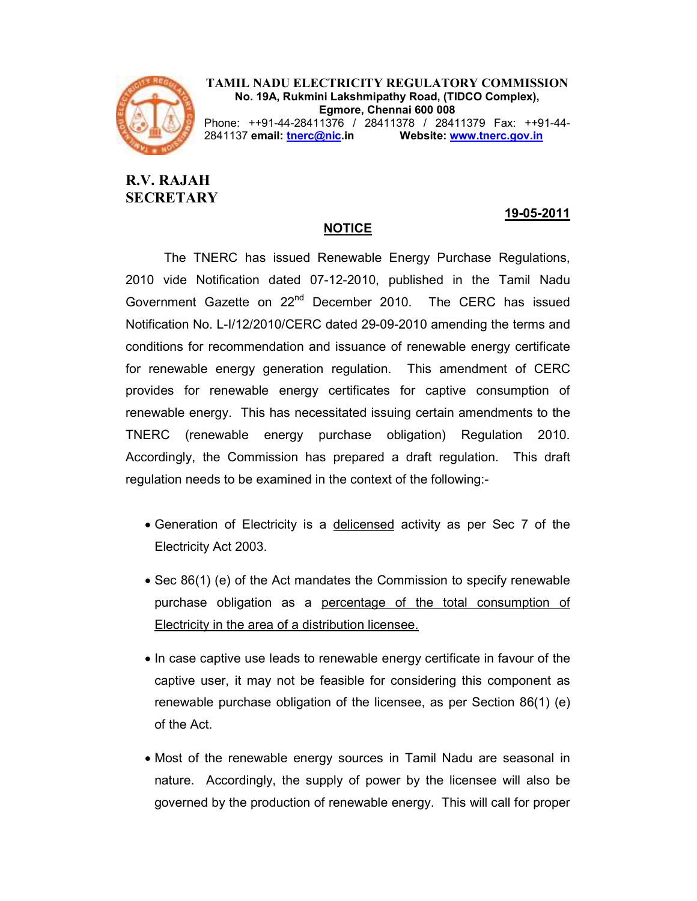

TAMIL NADU ELECTRICITY REGULATORY COMMISSION No. 19A, Rukmini Lakshmipathy Road, (TIDCO Complex), Egmore, Chennai 600 008 Phone: ++91-44-28411376 / 28411378 / 28411379 Fax: ++91-44-

2841137 email: tnerc@nic.in Website: www.tnerc.gov.in

# R.V. RAJAH **SECRETARY**

# 19-05-2011

# The TNERC has issued Renewable Energy Purchase Regulations, 2010 vide Notification dated 07-12-2010, published in the Tamil Nadu Government Gazette on 22<sup>nd</sup> December 2010. The CERC has issued Notification No. L-I/12/2010/CERC dated 29-09-2010 amending the terms and conditions for recommendation and issuance of renewable energy certificate for renewable energy generation regulation. This amendment of CERC provides for renewable energy certificates for captive consumption of renewable energy. This has necessitated issuing certain amendments to the TNERC (renewable energy purchase obligation) Regulation 2010. Accordingly, the Commission has prepared a draft regulation. This draft regulation needs to be examined in the context of the following:-

NOTICE

- Generation of Electricity is a delicensed activity as per Sec 7 of the Electricity Act 2003.
- Sec 86(1) (e) of the Act mandates the Commission to specify renewable purchase obligation as a percentage of the total consumption of Electricity in the area of a distribution licensee.
- In case captive use leads to renewable energy certificate in favour of the captive user, it may not be feasible for considering this component as renewable purchase obligation of the licensee, as per Section 86(1) (e) of the Act.
- Most of the renewable energy sources in Tamil Nadu are seasonal in nature. Accordingly, the supply of power by the licensee will also be governed by the production of renewable energy. This will call for proper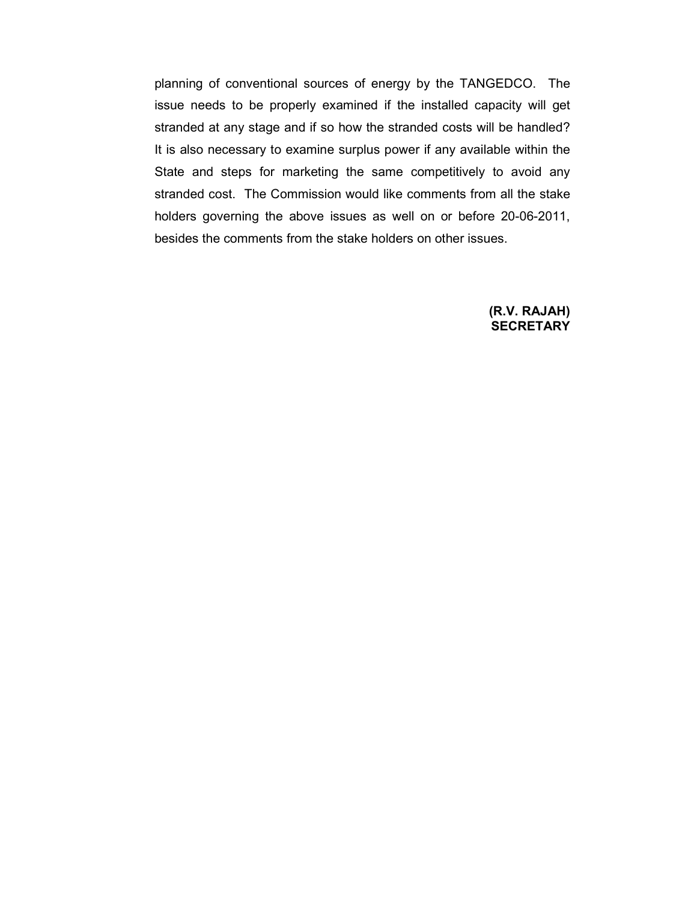planning of conventional sources of energy by the TANGEDCO. The issue needs to be properly examined if the installed capacity will get stranded at any stage and if so how the stranded costs will be handled? It is also necessary to examine surplus power if any available within the State and steps for marketing the same competitively to avoid any stranded cost. The Commission would like comments from all the stake holders governing the above issues as well on or before 20-06-2011, besides the comments from the stake holders on other issues.

#### (R.V. RAJAH) **SECRETARY**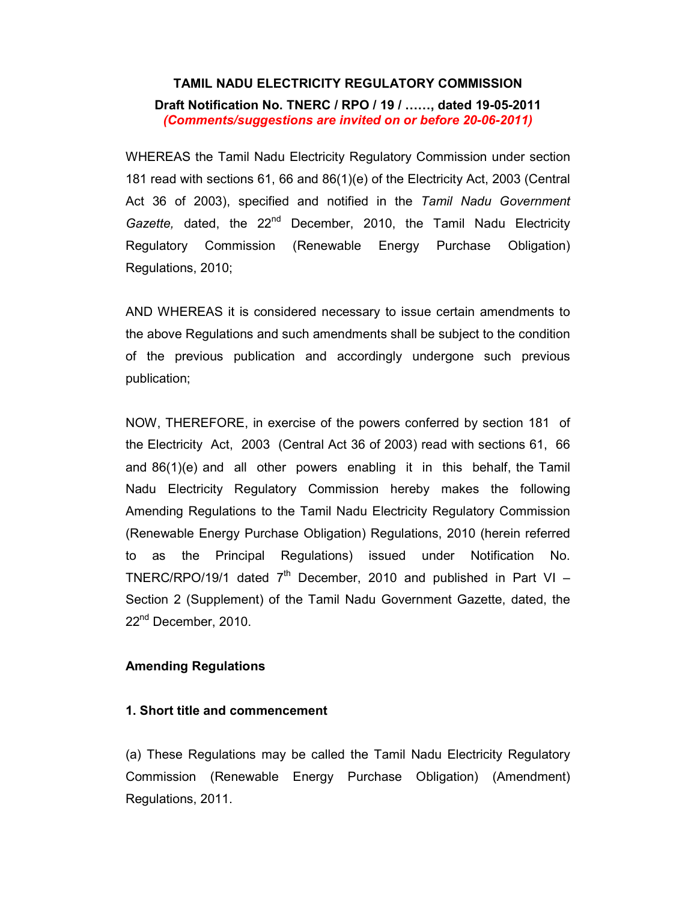### TAMIL NADU ELECTRICITY REGULATORY COMMISSION

Draft Notification No. TNERC / RPO / 19 / ……, dated 19-05-2011 (Comments/suggestions are invited on or before 20-06-2011)

WHEREAS the Tamil Nadu Electricity Regulatory Commission under section 181 read with sections 61, 66 and 86(1)(e) of the Electricity Act, 2003 (Central Act 36 of 2003), specified and notified in the Tamil Nadu Government Gazette, dated, the  $22^{nd}$  December, 2010, the Tamil Nadu Electricity Regulatory Commission (Renewable Energy Purchase Obligation) Regulations, 2010;

AND WHEREAS it is considered necessary to issue certain amendments to the above Regulations and such amendments shall be subject to the condition of the previous publication and accordingly undergone such previous publication;

NOW, THEREFORE, in exercise of the powers conferred by section 181 of the Electricity Act, 2003 (Central Act 36 of 2003) read with sections 61, 66 and 86(1)(e) and all other powers enabling it in this behalf, the Tamil Nadu Electricity Regulatory Commission hereby makes the following Amending Regulations to the Tamil Nadu Electricity Regulatory Commission (Renewable Energy Purchase Obligation) Regulations, 2010 (herein referred to as the Principal Regulations) issued under Notification No. TNERC/RPO/19/1 dated  $7<sup>th</sup>$  December, 2010 and published in Part VI – Section 2 (Supplement) of the Tamil Nadu Government Gazette, dated, the 22<sup>nd</sup> December, 2010.

# Amending Regulations

#### 1. Short title and commencement

(a) These Regulations may be called the Tamil Nadu Electricity Regulatory Commission (Renewable Energy Purchase Obligation) (Amendment) Regulations, 2011.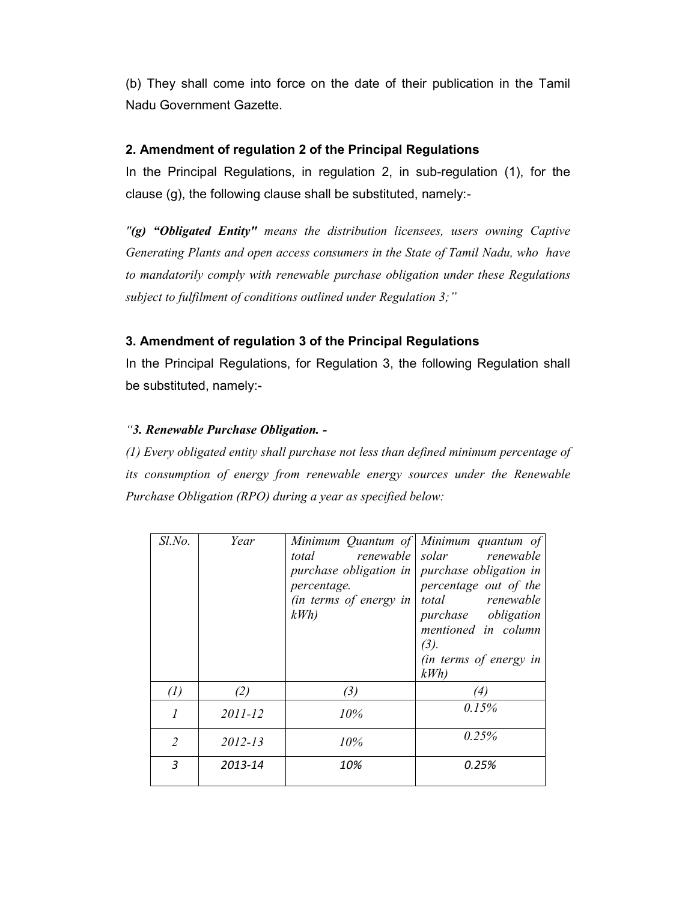(b) They shall come into force on the date of their publication in the Tamil Nadu Government Gazette.

# 2. Amendment of regulation 2 of the Principal Regulations

In the Principal Regulations, in regulation 2, in sub-regulation (1), for the clause (g), the following clause shall be substituted, namely:-

 $\Gamma$ (g) "Obligated Entity" means the distribution licensees, users owning Captive Generating Plants and open access consumers in the State of Tamil Nadu, who have to mandatorily comply with renewable purchase obligation under these Regulations subject to fulfilment of conditions outlined under Regulation 3;"

# 3. Amendment of regulation 3 of the Principal Regulations

In the Principal Regulations, for Regulation 3, the following Regulation shall be substituted, namely:-

# "3. Renewable Purchase Obligation. -

(1) Every obligated entity shall purchase not less than defined minimum percentage of its consumption of energy from renewable energy sources under the Renewable Purchase Obligation (RPO) during a year as specified below:

| $Sl$ .No.         | Year    |                               | Minimum Quantum of Minimum quantum of |
|-------------------|---------|-------------------------------|---------------------------------------|
|                   |         | total                         | renewable solar renewable             |
|                   |         | purchase obligation in        | purchase obligation in                |
|                   |         | percentage.                   | percentage out of the                 |
|                   |         | <i>(in terms of energy in</i> | total renewable                       |
|                   |         | kWh                           | purchase obligation                   |
|                   |         |                               | mentioned in column                   |
|                   |         |                               | (3).                                  |
|                   |         |                               | (in terms of energy in                |
|                   |         |                               | kWh                                   |
| $\left( l\right)$ | (2)     | (3)                           | (4)                                   |
|                   | 2011-12 | 10%                           | 0.15%                                 |
|                   |         |                               |                                       |
| 2                 | 2012-13 | 10%                           | 0.25%                                 |
|                   |         |                               |                                       |
| 3                 | 2013-14 | 10%                           | 0.25%                                 |
|                   |         |                               |                                       |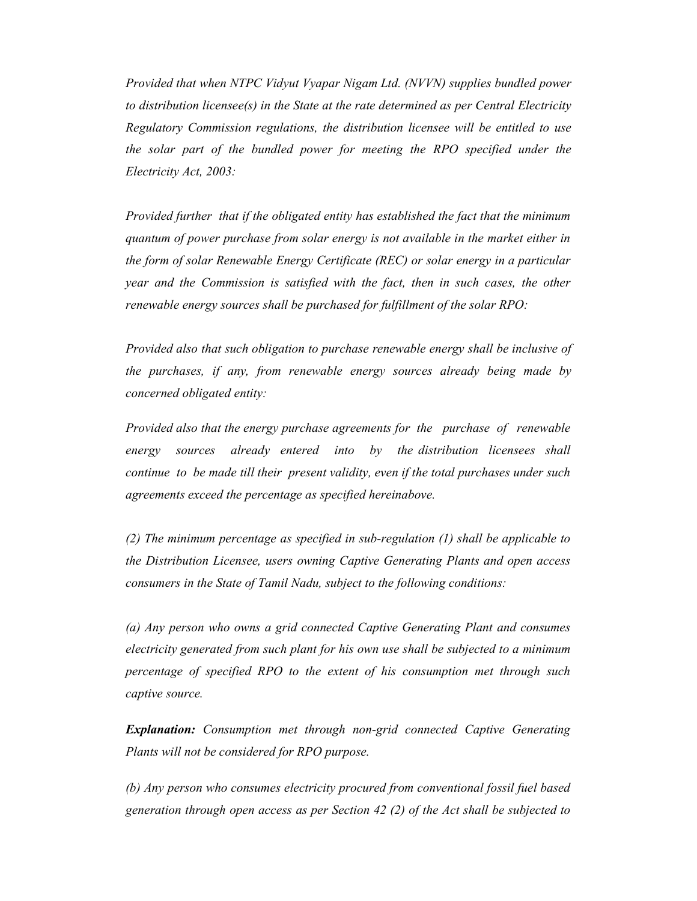Provided that when NTPC Vidyut Vyapar Nigam Ltd. (NVVN) supplies bundled power to distribution licensee(s) in the State at the rate determined as per Central Electricity Regulatory Commission regulations, the distribution licensee will be entitled to use the solar part of the bundled power for meeting the RPO specified under the Electricity Act, 2003:

Provided further that if the obligated entity has established the fact that the minimum quantum of power purchase from solar energy is not available in the market either in the form of solar Renewable Energy Certificate (REC) or solar energy in a particular year and the Commission is satisfied with the fact, then in such cases, the other renewable energy sources shall be purchased for fulfillment of the solar RPO:

Provided also that such obligation to purchase renewable energy shall be inclusive of the purchases, if any, from renewable energy sources already being made by concerned obligated entity:

Provided also that the energy purchase agreements for the purchase of renewable energy sources already entered into by the distribution licensees shall continue to be made till their present validity, even if the total purchases under such agreements exceed the percentage as specified hereinabove.

(2) The minimum percentage as specified in sub-regulation (1) shall be applicable to the Distribution Licensee, users owning Captive Generating Plants and open access consumers in the State of Tamil Nadu, subject to the following conditions:

(a) Any person who owns a grid connected Captive Generating Plant and consumes electricity generated from such plant for his own use shall be subjected to a minimum percentage of specified RPO to the extent of his consumption met through such captive source.

Explanation: Consumption met through non-grid connected Captive Generating Plants will not be considered for RPO purpose.

(b) Any person who consumes electricity procured from conventional fossil fuel based generation through open access as per Section 42 (2) of the Act shall be subjected to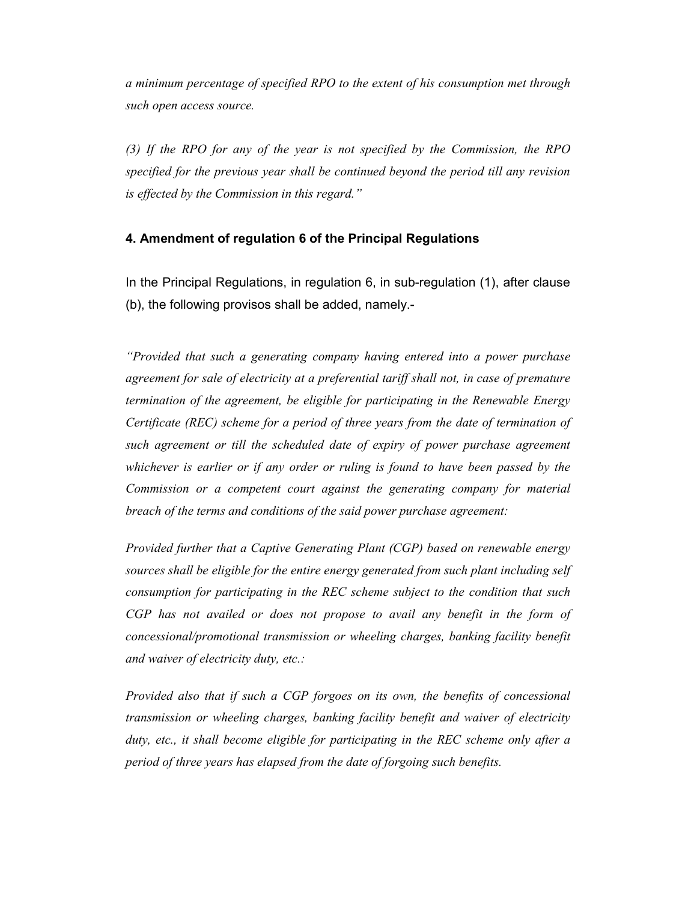a minimum percentage of specified RPO to the extent of his consumption met through such open access source.

(3) If the RPO for any of the year is not specified by the Commission, the RPO specified for the previous year shall be continued beyond the period till any revision is effected by the Commission in this regard."

#### 4. Amendment of regulation 6 of the Principal Regulations

In the Principal Regulations, in regulation 6, in sub-regulation (1), after clause (b), the following provisos shall be added, namely.-

"Provided that such a generating company having entered into a power purchase agreement for sale of electricity at a preferential tariff shall not, in case of premature termination of the agreement, be eligible for participating in the Renewable Energy Certificate (REC) scheme for a period of three years from the date of termination of such agreement or till the scheduled date of expiry of power purchase agreement whichever is earlier or if any order or ruling is found to have been passed by the Commission or a competent court against the generating company for material breach of the terms and conditions of the said power purchase agreement:

Provided further that a Captive Generating Plant (CGP) based on renewable energy sources shall be eligible for the entire energy generated from such plant including self consumption for participating in the REC scheme subject to the condition that such CGP has not availed or does not propose to avail any benefit in the form of concessional/promotional transmission or wheeling charges, banking facility benefit and waiver of electricity duty, etc.:

Provided also that if such a CGP forgoes on its own, the benefits of concessional transmission or wheeling charges, banking facility benefit and waiver of electricity duty, etc., it shall become eligible for participating in the REC scheme only after a period of three years has elapsed from the date of forgoing such benefits.